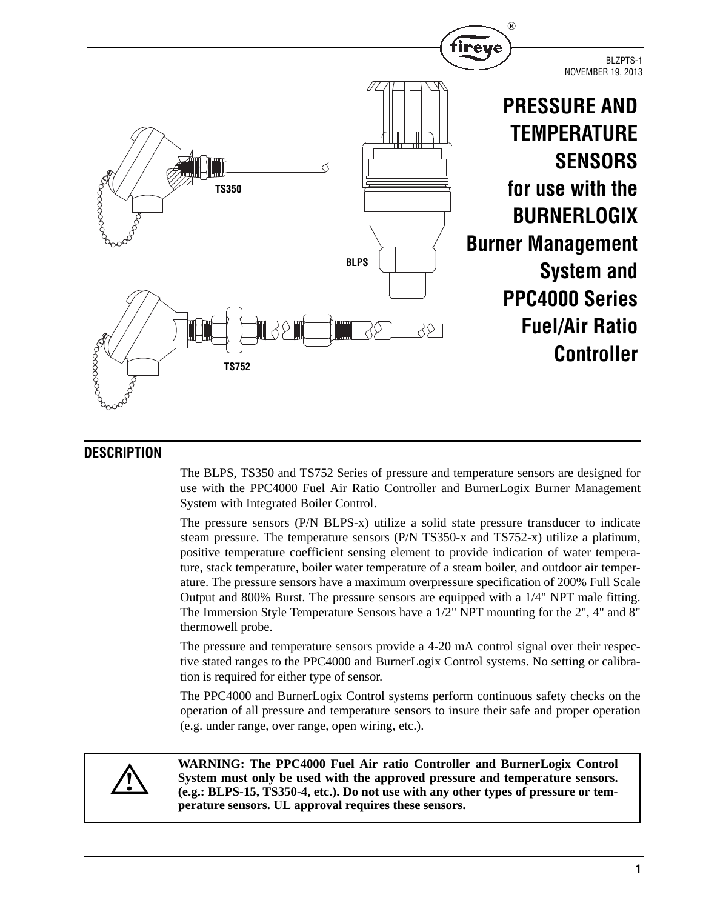

# **DESCRIPTION**

The BLPS, TS350 and TS752 Series of pressure and temperature sensors are designed for use with the PPC4000 Fuel Air Ratio Controller and BurnerLogix Burner Management System with Integrated Boiler Control.

The pressure sensors (P/N BLPS-x) utilize a solid state pressure transducer to indicate steam pressure. The temperature sensors (P/N TS350-x and TS752-x) utilize a platinum, positive temperature coefficient sensing element to provide indication of water temperature, stack temperature, boiler water temperature of a steam boiler, and outdoor air temperature. The pressure sensors have a maximum overpressure specification of 200% Full Scale Output and 800% Burst. The pressure sensors are equipped with a 1/4" NPT male fitting. The Immersion Style Temperature Sensors have a 1/2" NPT mounting for the 2", 4" and 8" thermowell probe.

The pressure and temperature sensors provide a 4-20 mA control signal over their respective stated ranges to the PPC4000 and BurnerLogix Control systems. No setting or calibration is required for either type of sensor.

The PPC4000 and BurnerLogix Control systems perform continuous safety checks on the operation of all pressure and temperature sensors to insure their safe and proper operation (e.g. under range, over range, open wiring, etc.).



**WARNING: The PPC4000 Fuel Air ratio Controller and BurnerLogix Control System must only be used with the approved pressure and temperature sensors. (e.g.: BLPS-15, TS350-4, etc.). Do not use with any other types of pressure or temperature sensors. UL approval requires these sensors.**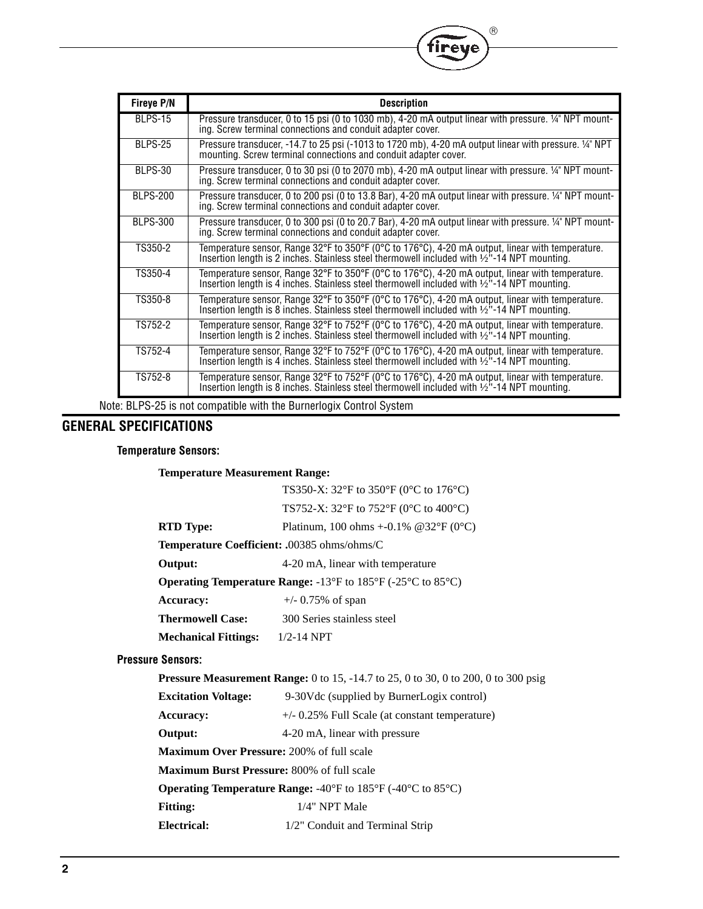| <b>Fireye P/N</b> | <b>Description</b>                                                                                                                                                                                         |
|-------------------|------------------------------------------------------------------------------------------------------------------------------------------------------------------------------------------------------------|
| BLPS-15           | Pressure transducer, 0 to 15 psi (0 to 1030 mb), 4-20 mA output linear with pressure. 14" NPT mount-<br>ing. Screw terminal connections and conduit adapter cover.                                         |
| BLPS-25           | Pressure transducer, -14.7 to 25 psi (-1013 to 1720 mb), 4-20 mA output linear with pressure. 14" NPT<br>mounting. Screw terminal connections and conduit adapter cover.                                   |
| BLPS-30           | Pressure transducer, 0 to 30 psi (0 to 2070 mb), 4-20 mA output linear with pressure. 1/4" NPT mounting. Screw terminal connections and conduit adapter cover.                                             |
| <b>BLPS-200</b>   | Pressure transducer, 0 to 200 psi (0 to 13.8 Bar), 4-20 mA output linear with pressure. 14" NPT mount-<br>ing. Screw terminal connections and conduit adapter cover.                                       |
| <b>BLPS-300</b>   | Pressure transducer, 0 to 300 psi (0 to 20.7 Bar), 4-20 mA output linear with pressure. 14" NPT mount-<br>ing. Screw terminal connections and conduit adapter cover.                                       |
| TS350-2           | Temperature sensor, Range 32°F to 350°F (0°C to 176°C), 4-20 mA output, linear with temperature.<br>Insertion length is 2 inches. Stainless steel thermowell included with $\frac{1}{2}$ -14 NPT mounting. |
| TS350-4           | Temperature sensor, Range 32°F to 350°F (0°C to 176°C), 4-20 mA output, linear with temperature.<br>Insertion length is 4 inches. Stainless steel thermowell included with 1/2"-14 NPT mounting.           |
| TS350-8           | Temperature sensor, Range 32°F to 350°F (0°C to 176°C), 4-20 mA output, linear with temperature.<br>Insertion length is 8 inches. Stainless steel thermowell included with 1/2"-14 NPT mounting.           |
| TS752-2           | Temperature sensor, Range 32°F to 752°F (0°C to 176°C), 4-20 mA output, linear with temperature.<br>Insertion length is 2 inches. Stainless steel thermowell included with 1/2"-14 NPT mounting.           |
| TS752-4           | Temperature sensor, Range 32°F to 752°F (0°C to 176°C), 4-20 mA output, linear with temperature.<br>Insertion length is 4 inches. Stainless steel thermowell included with $\frac{1}{2}$ -14 NPT mounting. |
| TS752-8           | Temperature sensor, Range 32°F to 752°F (0°C to 176°C), 4-20 mA output, linear with temperature.<br>Insertion length is 8 inches. Stainless steel thermowell included with $\frac{1}{2}$ -14 NPT mounting. |

 $^{\circledR}$ 

**ireve** 

Note: BLPS-25 is not compatible with the Burnerlogix Control System

# **GENERAL SPECIFICATIONS**

## **Temperature Sensors:**

**Temperature Measurement Range:**

|                                        | TS350-X: 32°F to 350°F (0°C to 176°C)                                                     |  |  |  |  |  |
|----------------------------------------|-------------------------------------------------------------------------------------------|--|--|--|--|--|
|                                        | TS752-X: 32°F to 752°F (0°C to 400°C)                                                     |  |  |  |  |  |
| <b>RTD</b> Type:                       | Platinum, 100 ohms +-0.1% @32°F (0°C)                                                     |  |  |  |  |  |
|                                        | Temperature Coefficient: .00385 ohms/ohms/C                                               |  |  |  |  |  |
| Output:                                | 4-20 mA, linear with temperature                                                          |  |  |  |  |  |
|                                        | <b>Operating Temperature Range:</b> -13°F to 185°F (-25°C to 85°C)                        |  |  |  |  |  |
| <b>Accuracy:</b>                       | $+/- 0.75\%$ of span                                                                      |  |  |  |  |  |
| <b>Thermowell Case:</b>                | 300 Series stainless steel                                                                |  |  |  |  |  |
| <b>Mechanical Fittings:</b> 1/2-14 NPT |                                                                                           |  |  |  |  |  |
| <b>Pressure Sensors:</b>               |                                                                                           |  |  |  |  |  |
|                                        | <b>Pressure Measurement Range:</b> 0 to 15, -14.7 to 25, 0 to 30, 0 to 200, 0 to 300 psig |  |  |  |  |  |
| <b>Excitation Voltage:</b>             | 9-30V dc (supplied by BurnerLogix control)                                                |  |  |  |  |  |
| <b>Accuracy:</b>                       | $+/-$ 0.25% Full Scale (at constant temperature)                                          |  |  |  |  |  |
| Output:                                | 4-20 mA, linear with pressure                                                             |  |  |  |  |  |
|                                        | <b>Maximum Over Pressure: 200% of full scale</b>                                          |  |  |  |  |  |
|                                        | <b>Maximum Burst Pressure:</b> 800% of full scale                                         |  |  |  |  |  |

**Operating Temperature Range:** -40°F to 185°F (-40°C to 85°C)

Fitting:  $1/4$ " NPT Male

**Electrical:** 1/2" Conduit and Terminal Strip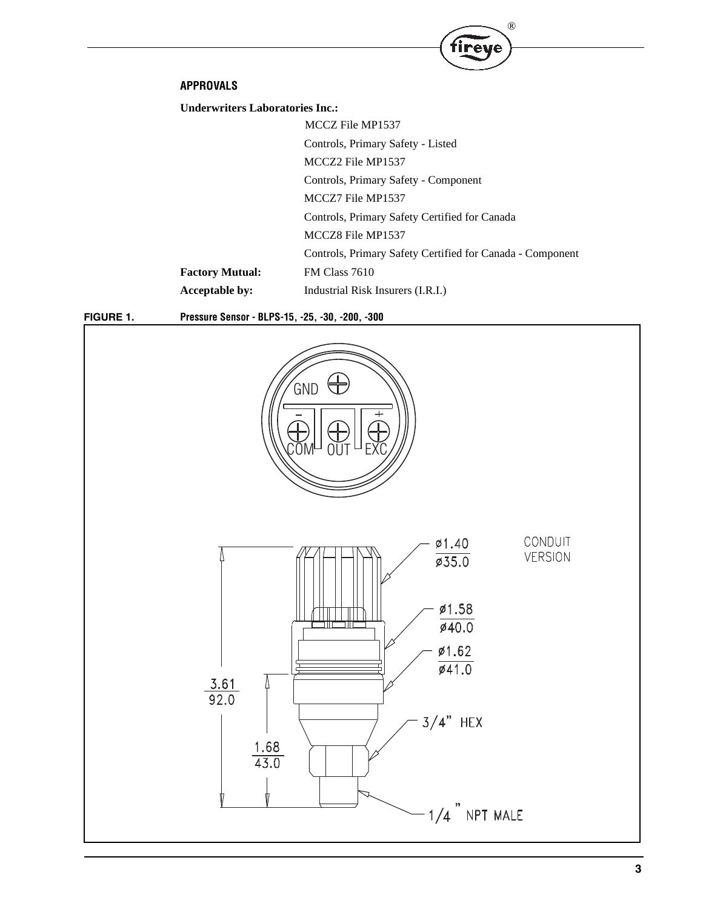### **APPROVALS**

**Underwriters Laboratories Inc.:**

MCCZ File MP1537 Controls, Primary Safety - Listed MCCZ2 File MP1537 Controls, Primary Safety - Component MCCZ7 File MP1537 Controls, Primary Safety Certified for Canada MCCZ8 File MP1537 Controls, Primary Safety Certified for Canada - Component **Factory Mutual:** FM Class 7610 **Acceptable by:** Industrial Risk Insurers (I.R.I.)

®

**Tireye** 

**FIGURE 1. Pressure Sensor - BLPS-15, -25, -30, -200, -300**

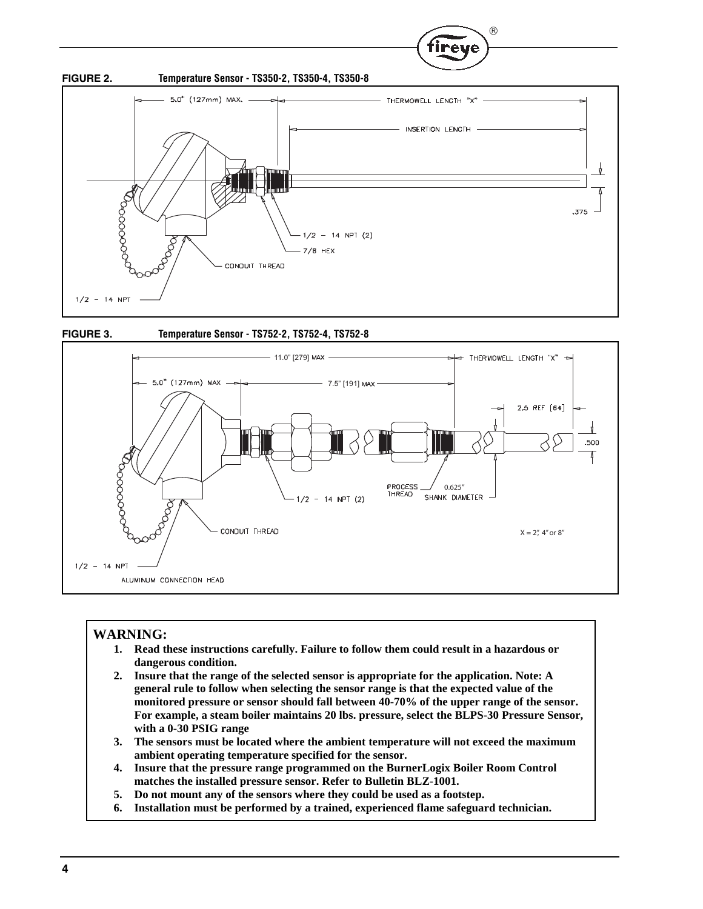

R.





## **WARNING:**

- **1. Read these instructions carefully. Failure to follow them could result in a hazardous or dangerous condition.**
- **2. Insure that the range of the selected sensor is appropriate for the application. Note: A general rule to follow when selecting the sensor range is that the expected value of the monitored pressure or sensor should fall between 40-70% of the upper range of the sensor. For example, a steam boiler maintains 20 lbs. pressure, select the BLPS-30 Pressure Sensor, with a 0-30 PSIG range**
- **3. The sensors must be located where the ambient temperature will not exceed the maximum ambient operating temperature specified for the sensor.**
- **4. Insure that the pressure range programmed on the BurnerLogix Boiler Room Control matches the installed pressure sensor. Refer to Bulletin BLZ-1001.**
- **5. Do not mount any of the sensors where they could be used as a footstep.**
- **6. Installation must be performed by a trained, experienced flame safeguard technician.**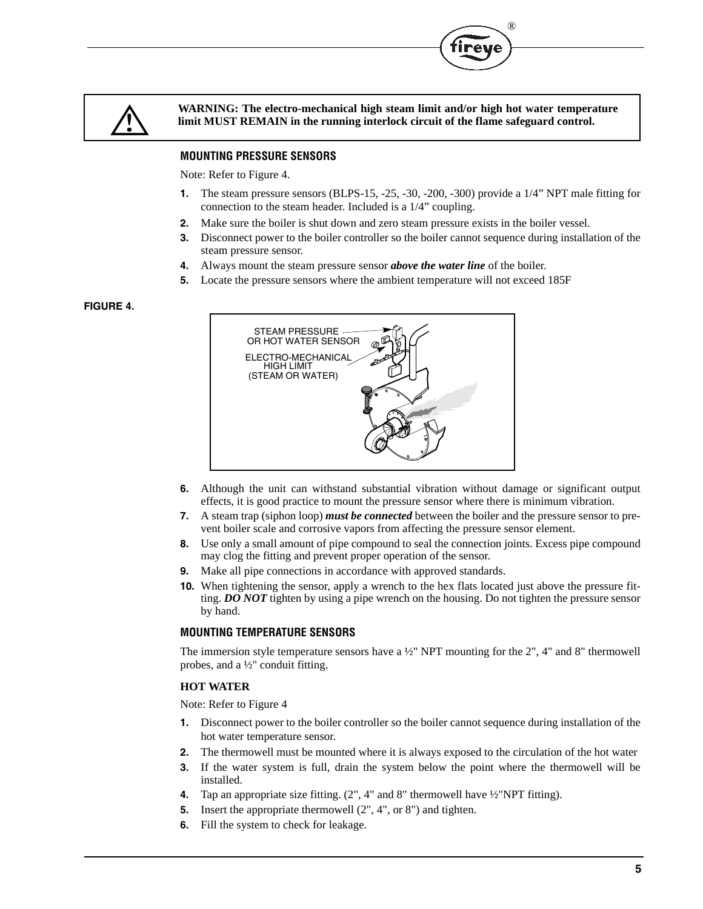



**WARNING: The electro-mechanical high steam limit and/or high hot water temperature limit MUST REMAIN in the running interlock circuit of the flame safeguard control.** 

# **MOUNTING PRESSURE SENSORS**

Note: Refer to Figure 4.

- **1.** The steam pressure sensors (BLPS-15, -25, -30, -200, -300) provide a 1/4" NPT male fitting for connection to the steam header. Included is a 1/4" coupling.
- **2.** Make sure the boiler is shut down and zero steam pressure exists in the boiler vessel.
- **3.** Disconnect power to the boiler controller so the boiler cannot sequence during installation of the steam pressure sensor.
- **4.** Always mount the steam pressure sensor *above the water line* of the boiler.
- **5.** Locate the pressure sensors where the ambient temperature will not exceed 185F

### **FIGURE 4.**



- **6.** Although the unit can withstand substantial vibration without damage or significant output effects, it is good practice to mount the pressure sensor where there is minimum vibration.
- **7.** A steam trap (siphon loop) *must be connected* between the boiler and the pressure sensor to prevent boiler scale and corrosive vapors from affecting the pressure sensor element.
- **8.** Use only a small amount of pipe compound to seal the connection joints. Excess pipe compound may clog the fitting and prevent proper operation of the sensor.
- **9.** Make all pipe connections in accordance with approved standards.
- **10.** When tightening the sensor, apply a wrench to the hex flats located just above the pressure fitting. *DO NOT* tighten by using a pipe wrench on the housing. Do not tighten the pressure sensor by hand.

### **MOUNTING TEMPERATURE SENSORS**

The immersion style temperature sensors have a  $\frac{1}{2}$ " NPT mounting for the 2", 4" and 8" thermowell probes, and a ½" conduit fitting.

### **HOT WATER**

Note: Refer to Figure 4

- **1.** Disconnect power to the boiler controller so the boiler cannot sequence during installation of the hot water temperature sensor.
- **2.** The thermowell must be mounted where it is always exposed to the circulation of the hot water
- **3.** If the water system is full, drain the system below the point where the thermowell will be installed.
- **4.** Tap an appropriate size fitting. (2", 4" and 8" thermowell have ½"NPT fitting).
- **5.** Insert the appropriate thermowell (2", 4", or 8") and tighten.
- **6.** Fill the system to check for leakage.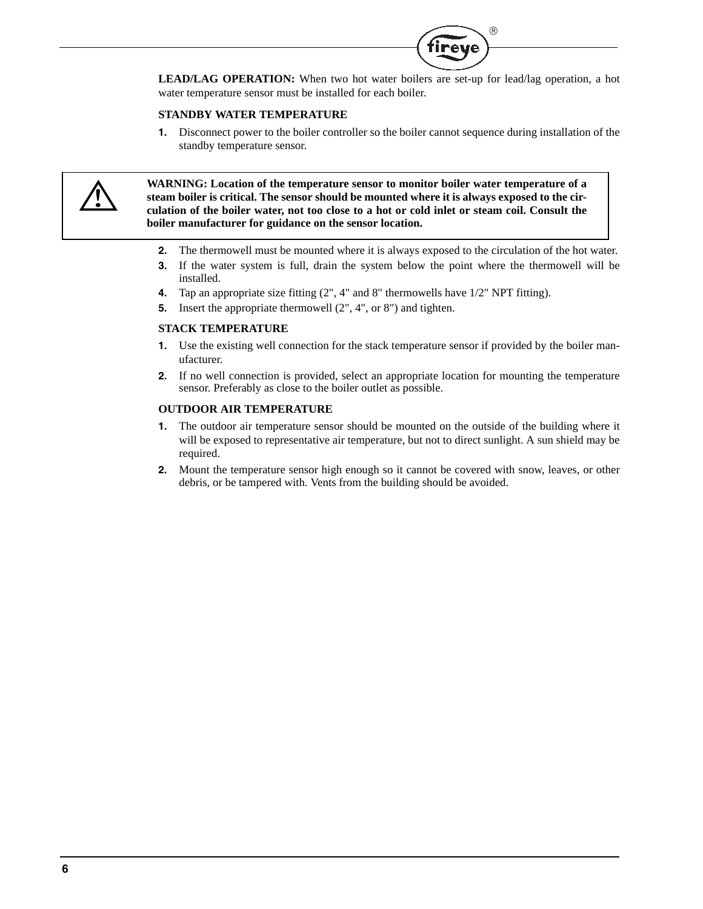

**LEAD/LAG OPERATION:** When two hot water boilers are set-up for lead/lag operation, a hot water temperature sensor must be installed for each boiler.

#### **STANDBY WATER TEMPERATURE**

**1.** Disconnect power to the boiler controller so the boiler cannot sequence during installation of the standby temperature sensor.



**WARNING: Location of the temperature sensor to monitor boiler water temperature of a steam boiler is critical. The sensor should be mounted where it is always exposed to the circulation of the boiler water, not too close to a hot or cold inlet or steam coil. Consult the boiler manufacturer for guidance on the sensor location.**

- **2.** The thermowell must be mounted where it is always exposed to the circulation of the hot water.
- **3.** If the water system is full, drain the system below the point where the thermowell will be installed.
- **4.** Tap an appropriate size fitting (2", 4" and 8" thermowells have 1/2" NPT fitting).
- **5.** Insert the appropriate thermowell (2", 4", or 8") and tighten.

#### **STACK TEMPERATURE**

- **1.** Use the existing well connection for the stack temperature sensor if provided by the boiler manufacturer.
- **2.** If no well connection is provided, select an appropriate location for mounting the temperature sensor. Preferably as close to the boiler outlet as possible.

#### **OUTDOOR AIR TEMPERATURE**

- **1.** The outdoor air temperature sensor should be mounted on the outside of the building where it will be exposed to representative air temperature, but not to direct sunlight. A sun shield may be required.
- **2.** Mount the temperature sensor high enough so it cannot be covered with snow, leaves, or other debris, or be tampered with. Vents from the building should be avoided.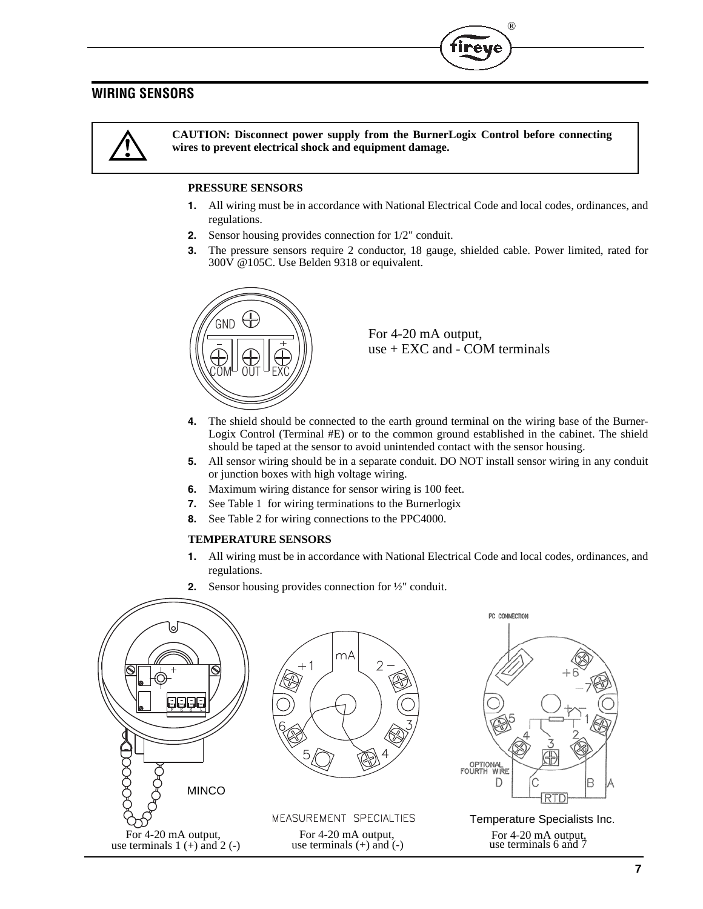# **WIRING SENSORS**

**CAUTION: Disconnect power supply from the BurnerLogix Control before connecting wires to prevent electrical shock and equipment damage.**

## **PRESSURE SENSORS**

- **1.** All wiring must be in accordance with National Electrical Code and local codes, ordinances, and regulations.
- **2.** Sensor housing provides connection for 1/2" conduit.
- **3.** The pressure sensors require 2 conductor, 18 gauge, shielded cable. Power limited, rated for 300V @105C. Use Belden 9318 or equivalent.



For 4-20 mA output, use + EXC and - COM terminals

®

- **4.** The shield should be connected to the earth ground terminal on the wiring base of the Burner-Logix Control (Terminal #E) or to the common ground established in the cabinet. The shield should be taped at the sensor to avoid unintended contact with the sensor housing.
- **5.** All sensor wiring should be in a separate conduit. DO NOT install sensor wiring in any conduit or junction boxes with high voltage wiring.
- **6.** Maximum wiring distance for sensor wiring is 100 feet.
- **7.** See Table 1 for wiring terminations to the Burnerlogix
- **8.** See Table 2 for wiring connections to the PPC4000.

#### **TEMPERATURE SENSORS**

- **1.** All wiring must be in accordance with National Electrical Code and local codes, ordinances, and regulations.
- **2.** Sensor housing provides connection for ½" conduit.





MEASUREMENT SPECIALTIES Temperature Specialists Inc. For 4-20 mA output,<br>
use terminals (+) and (-) For 4-20 mA output,<br>
use terminals 6 and 7